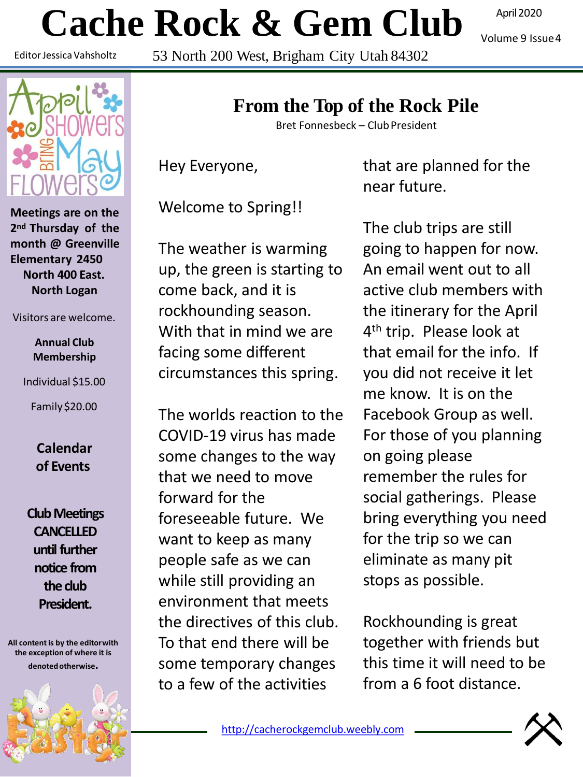# **Cache Rock & Gem Club**

Editor JessicaVahsholtz

53 North 200 West, Brigham City Utah 84302

April 2020

Volume 9 Issue4



**Meetings are on the 2nd Thursday of the month @ Greenville Elementary 2450 North 400 East. North Logan**

Visitors are welcome.

**Annual Club Membership**

Individual \$15.00

Family\$20.00

**Calendar of Events**

**Club Meetings CANCELLED until further notice from the club President.**

**All content is by the editorwith the exception of where it is denotedotherwise.**



Bret Fonnesbeck – ClubPresident

Hey Everyone,

Welcome to Spring!!

The weather is warming up, the green is starting to come back, and it is rockhounding season. With that in mind we are facing some different circumstances this spring.

The worlds reaction to the COVID-19 virus has made some changes to the way that we need to move forward for the foreseeable future. We want to keep as many people safe as we can while still providing an environment that meets the directives of this club. To that end there will be some temporary changes to a few of the activities

that are planned for the near future.

The club trips are still going to happen for now. An email went out to all active club members with the itinerary for the April 4<sup>th</sup> trip. Please look at that email for the info. If you did not receive it let me know. It is on the Facebook Group as well. For those of you planning on going please remember the rules for social gatherings. Please bring everything you need for the trip so we can eliminate as many pit stops as possible.

Rockhounding is great together with friends but this time it will need to be from a 6 foot distance.

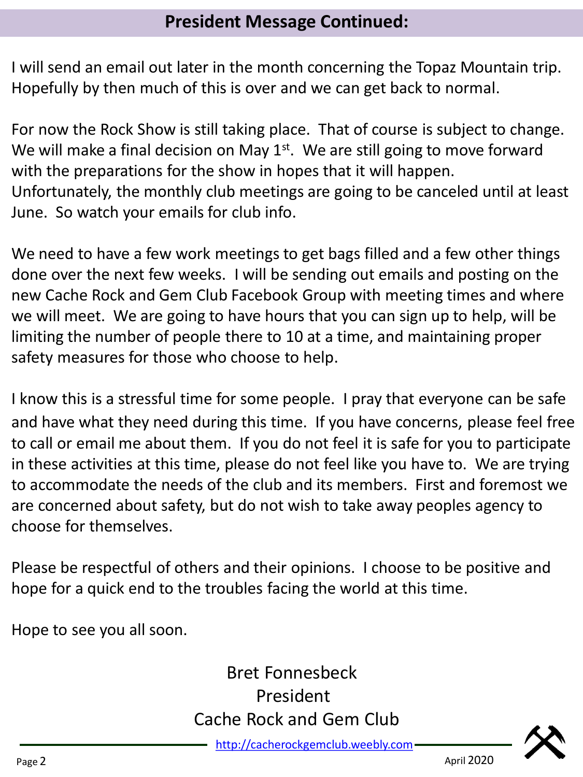I will send an email out later in the month concerning the Topaz Mountain trip. Hopefully by then much of this is over and we can get back to normal.

For now the Rock Show is still taking place. That of course is subject to change. We will make a final decision on May  $1<sup>st</sup>$ . We are still going to move forward with the preparations for the show in hopes that it will happen. Unfortunately, the monthly club meetings are going to be canceled until at least June. So watch your emails for club info.

We need to have a few work meetings to get bags filled and a few other things done over the next few weeks. I will be sending out emails and posting on the new Cache Rock and Gem Club Facebook Group with meeting times and where we will meet. We are going to have hours that you can sign up to help, will be limiting the number of people there to 10 at a time, and maintaining proper safety measures for those who choose to help.

I know this is a stressful time for some people. I pray that everyone can be safe and have what they need during this time. If you have concerns, please feel free to call or email me about them. If you do not feel it is safe for you to participate in these activities at this time, please do not feel like you have to. We are trying to accommodate the needs of the club and its members. First and foremost we are concerned about safety, but do not wish to take away peoples agency to choose for themselves.

Please be respectful of others and their opinions. I choose to be positive and hope for a quick end to the troubles facing the world at this time.

Hope to see you all soon.

## Bret Fonnesbeck President Cache Rock and Gem Club

[http://cacherockgemclub.weebly.com](http://cacherockgemclub.weebly.com/)

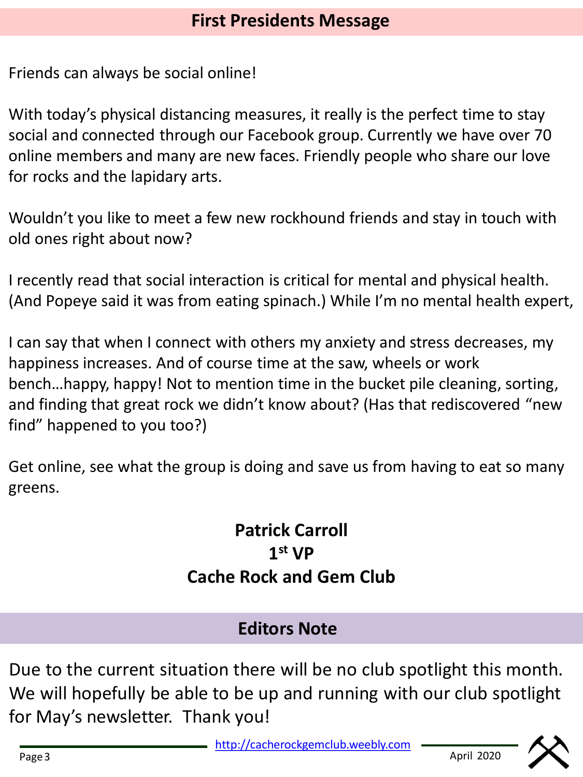Friends can always be social online!

With today's physical distancing measures, it really is the perfect time to stay social and connected through our Facebook group. Currently we have over 70 online members and many are new faces. Friendly people who share our love for rocks and the lapidary arts.

Wouldn't you like to meet a few new rockhound friends and stay in touch with old ones right about now?

I recently read that social interaction is critical for mental and physical health. (And Popeye said it was from eating spinach.) While I'm no mental health expert,

I can say that when I connect with others my anxiety and stress decreases, my happiness increases. And of course time at the saw, wheels or work bench…happy, happy! Not to mention time in the bucket pile cleaning, sorting, and finding that great rock we didn't know about? (Has that rediscovered "new find" happened to you too?)

Get online, see what the group is doing and save us from having to eat so many greens.

> **Patrick Carroll 1 st VP Cache Rock and Gem Club**

### **Editors Note**

Due to the current situation there will be no club spotlight this month. We will hopefully be able to be up and running with our club spotlight for May's newsletter. Thank you!

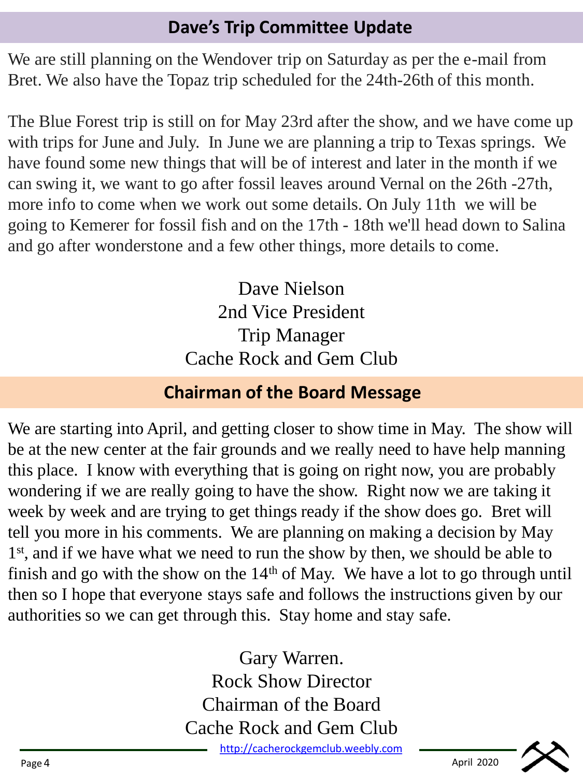#### **Dave's Trip Committee Update**

We are still planning on the Wendover trip on Saturday as per the e-mail from Bret. We also have the Topaz trip scheduled for the 24th-26th of this month.

The Blue Forest trip is still on for May 23rd after the show, and we have come up with trips for June and July. In June we are planning a trip to Texas springs. We have found some new things that will be of interest and later in the month if we can swing it, we want to go after fossil leaves around Vernal on the 26th -27th, more info to come when we work out some details. On July 11th we will be going to Kemerer for fossil fish and on the 17th - 18th we'll head down to Salina and go after wonderstone and a few other things, more details to come.

> Dave Nielson 2nd Vice President Trip Manager Cache Rock and Gem Club

### **Chairman of the Board Message**

We are starting into April, and getting closer to show time in May. The show will be at the new center at the fair grounds and we really need to have help manning this place. I know with everything that is going on right now, you are probably wondering if we are really going to have the show. Right now we are taking it week by week and are trying to get things ready if the show does go. Bret will tell you more in his comments. We are planning on making a decision by May 1<sup>st</sup>, and if we have what we need to run the show by then, we should be able to finish and go with the show on the  $14<sup>th</sup>$  of May. We have a lot to go through until then so I hope that everyone stays safe and follows the instructions given by our authorities so we can get through this. Stay home and stay safe.

> Gary Warren. Rock Show Director Chairman of the Board Cache Rock and Gem Club

[http://cacherockgemclub.weebly.com](http://cacherockgemclub.weebly.com/)

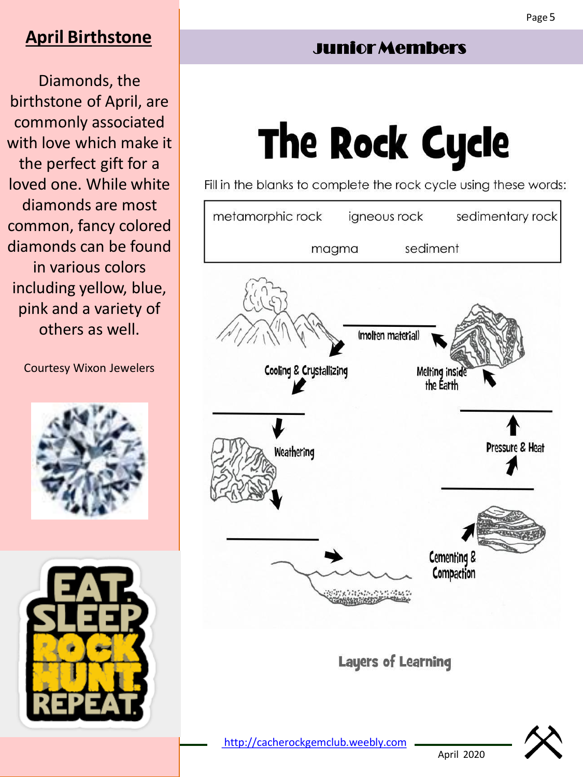#### **April Birthstone**

Diamonds, the birthstone of April, are commonly associated with love which make it the perfect gift for a loved one. While white diamonds are most common, fancy colored diamonds can be found in various colors including yellow, blue, pink and a variety of others as well.

Courtesy Wixon Jewelers





# Junior Members

# **The Rock Cycle**

Fill in the blanks to complete the rock cycle using these words:



April 2020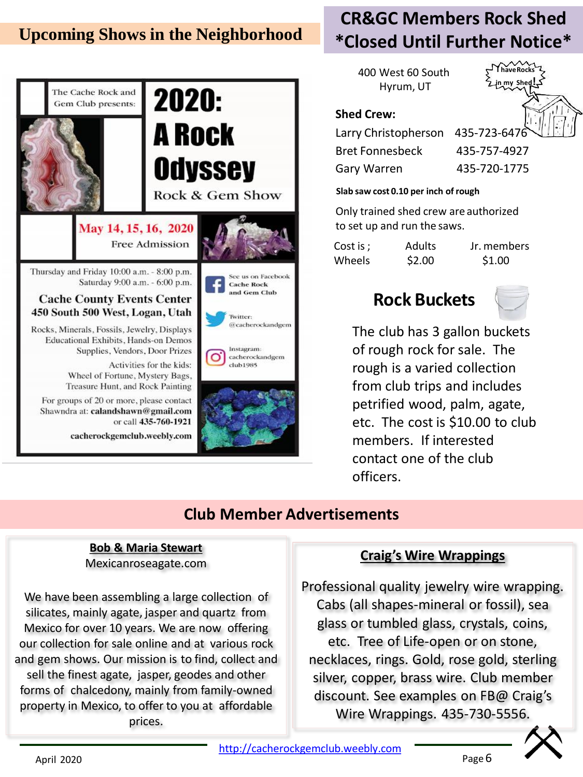#### **Upcoming Shows in the Neighborhood**



### **CR&GC Members Rock Shed \*Closed Until Further Notice\***

400 West 60 South Hyrum, UT



#### Gary Warren 435-720-1775 **Slab saw cost 0.10 per inch of rough**

Only trained shed crew are authorized to set up and run the saws.

Cost is ; Wheels

**Shed Crew:**

Adults \$2.00

Jr. members \$1.00

#### **Rock Buckets**



The club has 3 gallon buckets of rough rock for sale. The rough is a varied collection from club trips and includes petrified wood, palm, agate, etc. The cost is \$10.00 to club members. If interested contact one of the club officers.

#### **Club Member Advertisements**

#### **Bob & Maria Stewart** Mexicanroseagate.com

We have been assembling a large collection of silicates, mainly agate, jasper and quartz from Mexico for over 10 years. We are now offering our collection for sale online and at various rock and gem shows. Our mission is to find, collect and sell the finest agate, jasper, geodes and other forms of chalcedony, mainly from family-owned property in Mexico, to offer to you at affordable prices.

#### **Craig's Wire Wrappings**

Professional quality jewelry wire wrapping. Cabs (all shapes-mineral or fossil), sea glass or tumbled glass, crystals, coins, etc. Tree of Life-open or on stone, necklaces, rings. Gold, rose gold, sterling silver, copper, brass wire. Club member discount. See examples on FB@ Craig's Wire Wrappings. 435-730-5556.